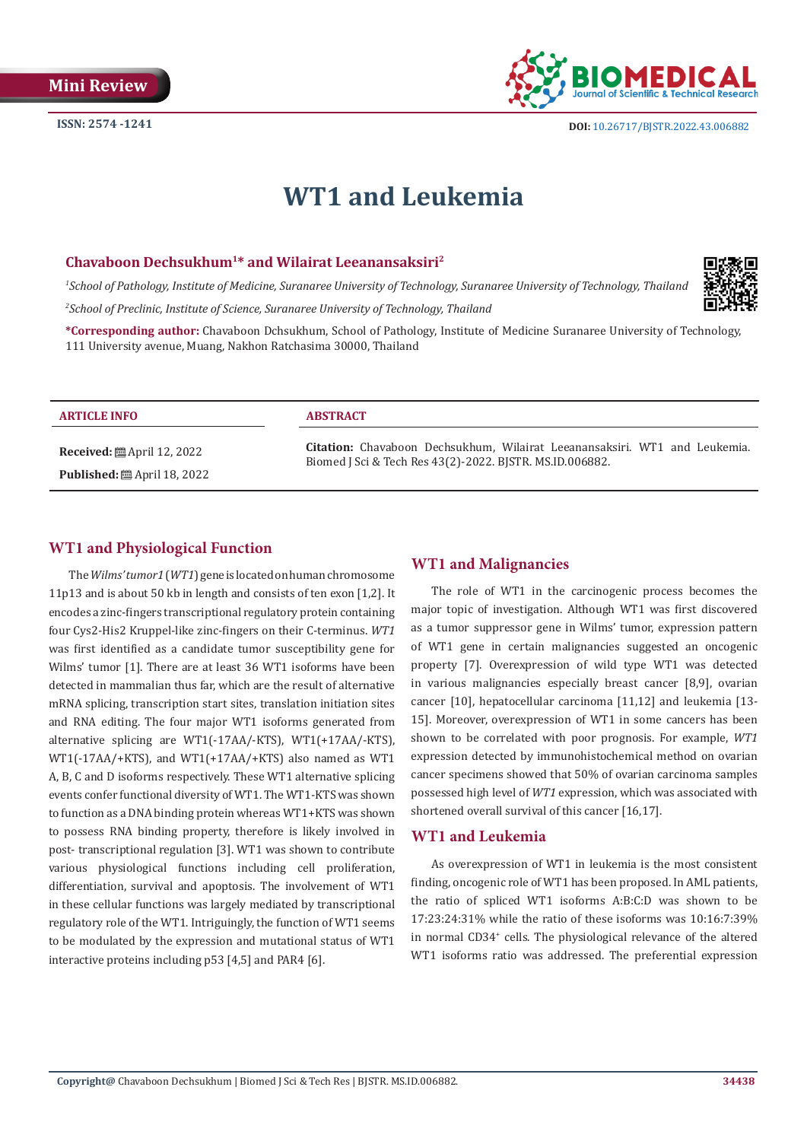

# **WT1 and Leukemia**

### **Chavaboon Dechsukhum1\* and Wilairat Leeanansaksiri2**

*1 School of Pathology, Institute of Medicine, Suranaree University of Technology, Suranaree University of Technology, Thailand 2 School of Preclinic, Institute of Science, Suranaree University of Technology, Thailand*



**\*Corresponding author:** Chavaboon Dchsukhum, School of Pathology, Institute of Medicine Suranaree University of Technology, 111 University avenue, Muang, Nakhon Ratchasima 30000, Thailand

#### **ARTICLE INFO ABSTRACT**

**Received:** ■ April 12, 2022 **Published:** ■ April 18, 2022

**Citation:** Chavaboon Dechsukhum, Wilairat Leeanansaksiri. WT1 and Leukemia. Biomed J Sci & Tech Res 43(2)-2022. BJSTR. MS.ID.006882.

### **WT1 and Physiological Function**

The *Wilms' tumor1* (*WT1*) gene is located on human chromosome 11p13 and is about 50 kb in length and consists of ten exon [1,2]. It encodes a zinc-fingers transcriptional regulatory protein containing four Cys2-His2 Kruppel-like zinc-fingers on their C-terminus. *WT1* was first identified as a candidate tumor susceptibility gene for Wilms' tumor [1]. There are at least 36 WT1 isoforms have been detected in mammalian thus far, which are the result of alternative mRNA splicing, transcription start sites, translation initiation sites and RNA editing. The four major WT1 isoforms generated from alternative splicing are WT1(-17AA/-KTS), WT1(+17AA/-KTS), WT1(-17AA/+KTS), and WT1(+17AA/+KTS) also named as WT1 A, B, C and D isoforms respectively. These WT1 alternative splicing events confer functional diversity of WT1. The WT1-KTS was shown to function as a DNA binding protein whereas WT1+KTS was shown to possess RNA binding property, therefore is likely involved in post- transcriptional regulation [3]. WT1 was shown to contribute various physiological functions including cell proliferation, differentiation, survival and apoptosis. The involvement of WT1 in these cellular functions was largely mediated by transcriptional regulatory role of the WT1. Intriguingly, the function of WT1 seems to be modulated by the expression and mutational status of WT1 interactive proteins including p53 [4,5] and PAR4 [6].

## **WT1 and Malignancies**

The role of WT1 in the carcinogenic process becomes the major topic of investigation. Although WT1 was first discovered as a tumor suppressor gene in Wilms' tumor, expression pattern of WT1 gene in certain malignancies suggested an oncogenic property [7]. Overexpression of wild type WT1 was detected in various malignancies especially breast cancer [8,9], ovarian cancer [10], hepatocellular carcinoma [11,12] and leukemia [13- 15]. Moreover, overexpression of WT1 in some cancers has been shown to be correlated with poor prognosis. For example, *WT1* expression detected by immunohistochemical method on ovarian cancer specimens showed that 50% of ovarian carcinoma samples possessed high level of *WT1* expression, which was associated with shortened overall survival of this cancer [16,17].

### **WT1 and Leukemia**

As overexpression of WT1 in leukemia is the most consistent finding, oncogenic role of WT1 has been proposed. In AML patients, the ratio of spliced WT1 isoforms A:B:C:D was shown to be 17:23:24:31% while the ratio of these isoforms was 10:16:7:39% in normal CD34+ cells. The physiological relevance of the altered WT1 isoforms ratio was addressed. The preferential expression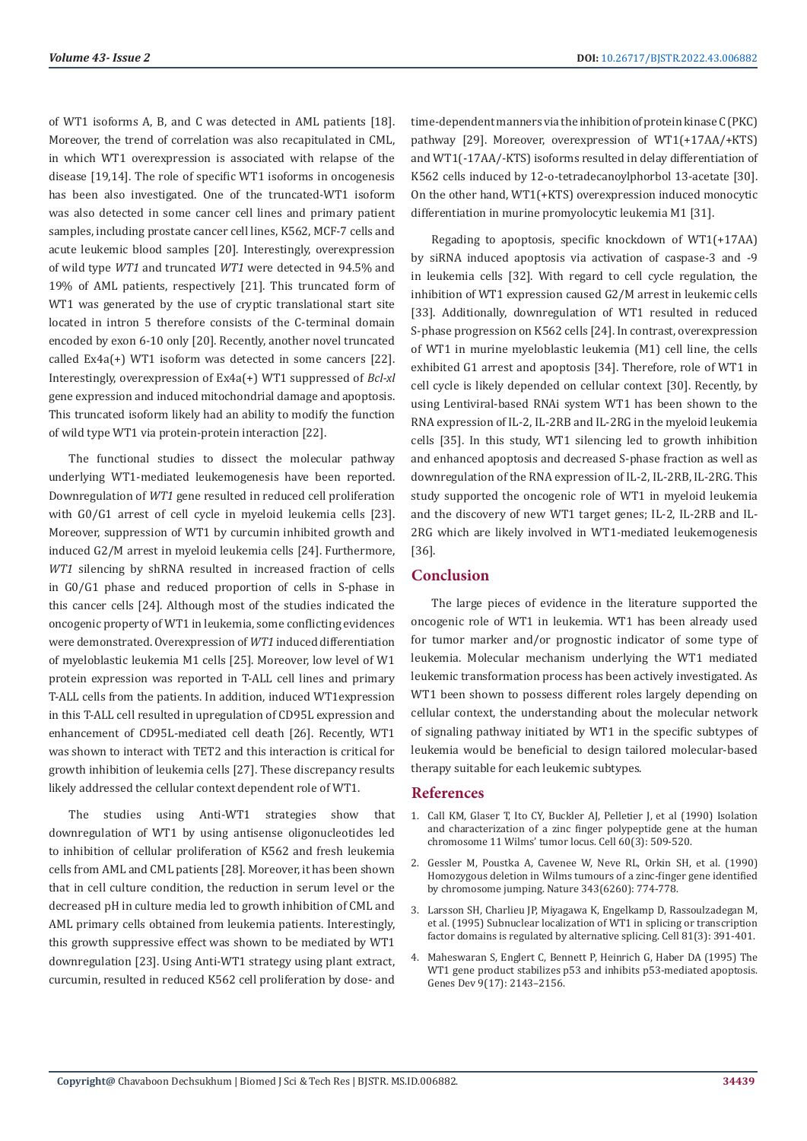of WT1 isoforms A, B, and C was detected in AML patients [18]. Moreover, the trend of correlation was also recapitulated in CML, in which WT1 overexpression is associated with relapse of the disease [19,14]. The role of specific WT1 isoforms in oncogenesis has been also investigated. One of the truncated-WT1 isoform was also detected in some cancer cell lines and primary patient samples, including prostate cancer cell lines, K562, MCF-7 cells and acute leukemic blood samples [20]. Interestingly, overexpression of wild type *WT1* and truncated *WT1* were detected in 94.5% and 19% of AML patients, respectively [21]. This truncated form of WT1 was generated by the use of cryptic translational start site located in intron 5 therefore consists of the C-terminal domain encoded by exon 6-10 only [20]. Recently, another novel truncated called Ex4a(+) WT1 isoform was detected in some cancers [22]. Interestingly, overexpression of Ex4a(+) WT1 suppressed of *Bcl-xl* gene expression and induced mitochondrial damage and apoptosis. This truncated isoform likely had an ability to modify the function of wild type WT1 via protein-protein interaction [22].

The functional studies to dissect the molecular pathway underlying WT1-mediated leukemogenesis have been reported. Downregulation of *WT1* gene resulted in reduced cell proliferation with G0/G1 arrest of cell cycle in myeloid leukemia cells [23]. Moreover, suppression of WT1 by curcumin inhibited growth and induced G2/M arrest in myeloid leukemia cells [24]. Furthermore, *WT1* silencing by shRNA resulted in increased fraction of cells in G0/G1 phase and reduced proportion of cells in S-phase in this cancer cells [24]. Although most of the studies indicated the oncogenic property of WT1 in leukemia, some conflicting evidences were demonstrated. Overexpression of *WT1* induced differentiation of myeloblastic leukemia M1 cells [25]. Moreover, low level of W1 protein expression was reported in T-ALL cell lines and primary T-ALL cells from the patients. In addition, induced WT1expression in this T-ALL cell resulted in upregulation of CD95L expression and enhancement of CD95L-mediated cell death [26]. Recently, WT1 was shown to interact with TET2 and this interaction is critical for growth inhibition of leukemia cells [27]. These discrepancy results likely addressed the cellular context dependent role of WT1.

The studies using Anti-WT1 strategies show that downregulation of WT1 by using antisense oligonucleotides led to inhibition of cellular proliferation of K562 and fresh leukemia cells from AML and CML patients [28]. Moreover, it has been shown that in cell culture condition, the reduction in serum level or the decreased pH in culture media led to growth inhibition of CML and AML primary cells obtained from leukemia patients. Interestingly, this growth suppressive effect was shown to be mediated by WT1 downregulation [23]. Using Anti-WT1 strategy using plant extract, curcumin, resulted in reduced K562 cell proliferation by dose- and

time-dependent manners via the inhibition of protein kinase C (PKC) pathway [29]. Moreover, overexpression of WT1(+17AA/+KTS) and WT1(-17AA/-KTS) isoforms resulted in delay differentiation of K562 cells induced by 12-o-tetradecanoylphorbol 13-acetate [30]. On the other hand, WT1(+KTS) overexpression induced monocytic differentiation in murine promyolocytic leukemia M1 [31].

Regading to apoptosis, specific knockdown of WT1(+17AA) by siRNA induced apoptosis via activation of caspase-3 and -9 in leukemia cells [32]. With regard to cell cycle regulation, the inhibition of WT1 expression caused G2/M arrest in leukemic cells [33]. Additionally, downregulation of WT1 resulted in reduced S-phase progression on K562 cells [24]. In contrast, overexpression of WT1 in murine myeloblastic leukemia (M1) cell line, the cells exhibited G1 arrest and apoptosis [34]. Therefore, role of WT1 in cell cycle is likely depended on cellular context [30]. Recently, by using Lentiviral-based RNAi system WT1 has been shown to the RNA expression of IL-2, IL-2RB and IL-2RG in the myeloid leukemia cells [35]. In this study, WT1 silencing led to growth inhibition and enhanced apoptosis and decreased S-phase fraction as well as downregulation of the RNA expression of IL-2, IL-2RB, IL-2RG. This study supported the oncogenic role of WT1 in myeloid leukemia and the discovery of new WT1 target genes; IL-2, IL-2RB and IL-2RG which are likely involved in WT1-mediated leukemogenesis [36].

# **Conclusion**

The large pieces of evidence in the literature supported the oncogenic role of WT1 in leukemia. WT1 has been already used for tumor marker and/or prognostic indicator of some type of leukemia. Molecular mechanism underlying the WT1 mediated leukemic transformation process has been actively investigated. As WT1 been shown to possess different roles largely depending on cellular context, the understanding about the molecular network of signaling pathway initiated by WT1 in the specific subtypes of leukemia would be beneficial to design tailored molecular-based therapy suitable for each leukemic subtypes.

#### **References**

- 1. [Call KM, Glaser T, Ito CY, Buckler AJ, Pelletier J, et al \(1990\) Isolation](https://pubmed.ncbi.nlm.nih.gov/2154335/) [and characterization of a zinc finger polypeptide gene at the human](https://pubmed.ncbi.nlm.nih.gov/2154335/) [chromosome 11 Wilms' tumor locus. Cell 60\(3\): 509-520.](https://pubmed.ncbi.nlm.nih.gov/2154335/)
- 2. [Gessler M, Poustka A, Cavenee W, Neve RL, Orkin SH, et al. \(1990\)](https://pubmed.ncbi.nlm.nih.gov/2154702/) [Homozygous deletion in Wilms tumours of a zinc-finger gene identified](https://pubmed.ncbi.nlm.nih.gov/2154702/) [by chromosome jumping. Nature 343\(6260\): 774-778.](https://pubmed.ncbi.nlm.nih.gov/2154702/)
- 3. [Larsson SH, Charlieu JP, Miyagawa K, Engelkamp D, Rassoulzadegan M,](https://pubmed.ncbi.nlm.nih.gov/7736591/) [et al. \(1995\) Subnuclear localization of WT1 in splicing or transcription](https://pubmed.ncbi.nlm.nih.gov/7736591/) [factor domains is regulated by alternative splicing. Cell 81\(3\): 391-401.](https://pubmed.ncbi.nlm.nih.gov/7736591/)
- 4. [Maheswaran S, Englert C, Bennett P, Heinrich G, Haber DA \(1995\) The](https://pubmed.ncbi.nlm.nih.gov/7657166/) [WT1 gene product stabilizes p53 and inhibits p53-mediated apoptosis.](https://pubmed.ncbi.nlm.nih.gov/7657166/) [Genes Dev 9\(17\): 2143–2156.](https://pubmed.ncbi.nlm.nih.gov/7657166/)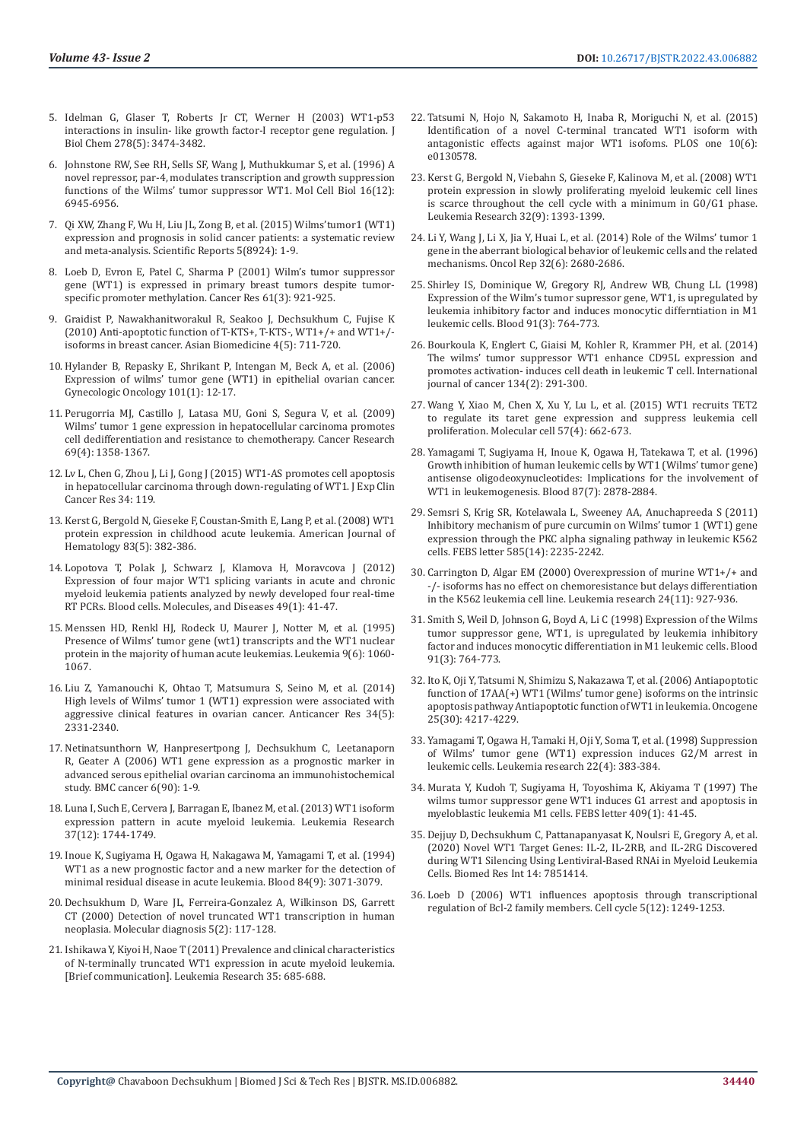- 5. [Idelman G, Glaser T, Roberts Jr CT, Werner H \(2003\) WT1-p53](https://pubmed.ncbi.nlm.nih.gov/12444079/)  [interactions in insulin- like growth factor-I receptor gene regulation. J](https://pubmed.ncbi.nlm.nih.gov/12444079/)  [Biol Chem 278\(5\): 3474-3482.](https://pubmed.ncbi.nlm.nih.gov/12444079/)
- 6. [Johnstone RW, See RH, Sells SF, Wang J, Muthukkumar S, et al. \(1996\) A](https://pubmed.ncbi.nlm.nih.gov/8943350/)  [novel repressor, par-4, modulates transcription and growth suppression](https://pubmed.ncbi.nlm.nih.gov/8943350/)  [functions of the Wilms' tumor suppressor WT1. Mol Cell Biol 16\(12\):](https://pubmed.ncbi.nlm.nih.gov/8943350/)  [6945-6956.](https://pubmed.ncbi.nlm.nih.gov/8943350/)
- 7. [Qi XW, Zhang F, Wu H, Liu JL, Zong B, et al. \(2015\) Wilms'tumor1 \(WT1\)](https://pubmed.ncbi.nlm.nih.gov/25748047/)  [expression and prognosis in solid cancer patients: a systematic review](https://pubmed.ncbi.nlm.nih.gov/25748047/)  [and meta-analysis. Scientific Reports 5\(8924\): 1-9.](https://pubmed.ncbi.nlm.nih.gov/25748047/)
- 8. [Loeb D, Evron E, Patel C, Sharma P \(2001\) Wilm's tumor suppressor](https://pubmed.ncbi.nlm.nih.gov/11221883/)  [gene \(WT1\) is expressed in primary breast tumors despite tumor](https://pubmed.ncbi.nlm.nih.gov/11221883/)[specific promoter methylation. Cancer Res 61\(3\): 921-925.](https://pubmed.ncbi.nlm.nih.gov/11221883/)
- 9. [Graidist P, Nawakhanitworakul R, Seakoo J, Dechsukhum C, Fujise K](https://www.researchgate.net/publication/287565082_Anti-apoptotic_function_of_T-KTS_T-KTS-_WT1_and_WT1-_isoforms_in_breast_cancer)  [\(2010\) Anti-apoptotic function of T-KTS+, T-KTS-, WT1+/+ and WT1+/](https://www.researchgate.net/publication/287565082_Anti-apoptotic_function_of_T-KTS_T-KTS-_WT1_and_WT1-_isoforms_in_breast_cancer)  [isoforms in breast cancer. Asian Biomedicine 4\(5\): 711-720.](https://www.researchgate.net/publication/287565082_Anti-apoptotic_function_of_T-KTS_T-KTS-_WT1_and_WT1-_isoforms_in_breast_cancer)
- 10. [Hylander B, Repasky E, Shrikant P, Intengan M, Beck A, et al. \(2006\)](https://pubmed.ncbi.nlm.nih.gov/16263157/)  [Expression of wilms' tumor gene \(WT1\) in epithelial ovarian cancer.](https://pubmed.ncbi.nlm.nih.gov/16263157/)  [Gynecologic Oncology 101\(1\): 12-17.](https://pubmed.ncbi.nlm.nih.gov/16263157/)
- 11. [Perugorria MJ, Castillo J, Latasa MU, Goni S, Segura V, et al. \(2009\)](https://pubmed.ncbi.nlm.nih.gov/19190340/)  [Wilms' tumor 1 gene expression in hepatocellular carcinoma promotes](https://pubmed.ncbi.nlm.nih.gov/19190340/)  [cell dedifferentiation and resistance to chemotherapy. Cancer Research](https://pubmed.ncbi.nlm.nih.gov/19190340/)  [69\(4\): 1358-1367.](https://pubmed.ncbi.nlm.nih.gov/19190340/)
- 12. [Lv L, Chen G, Zhou J, Li J, Gong J \(2015\) WT1-AS promotes cell apoptosis](https://pubmed.ncbi.nlm.nih.gov/26462627/)  [in hepatocellular carcinoma through down-regulating of WT1. J Exp Clin](https://pubmed.ncbi.nlm.nih.gov/26462627/)  [Cancer Res 34: 119.](https://pubmed.ncbi.nlm.nih.gov/26462627/)
- 13. [Kerst G, Bergold N, Gieseke F, Coustan-Smith E, Lang P, et al. \(2008\) WT1](https://pubmed.ncbi.nlm.nih.gov/18161786/)  [protein expression in childhood acute leukemia. American Journal of](https://pubmed.ncbi.nlm.nih.gov/18161786/)  [Hematology 83\(5\): 382-386.](https://pubmed.ncbi.nlm.nih.gov/18161786/)
- 14. [Lopotova T, Polak J, Schwarz J, Klamova H, Moravcova J \(2012\)](https://pubmed.ncbi.nlm.nih.gov/22555024/)  [Expression of four major WT1 splicing variants in acute and chronic](https://pubmed.ncbi.nlm.nih.gov/22555024/)  [myeloid leukemia patients analyzed by newly developed four real-time](https://pubmed.ncbi.nlm.nih.gov/22555024/)  [RT PCRs. Blood cells. Molecules, and Diseases 49\(1\): 41-47.](https://pubmed.ncbi.nlm.nih.gov/22555024/)
- 15. [Menssen HD, Renkl HJ, Rodeck U, Maurer J, Notter M, et al. \(1995\)](https://pubmed.ncbi.nlm.nih.gov/7596170/)  [Presence of Wilms' tumor gene \(wt1\) transcripts and the WT1 nuclear](https://pubmed.ncbi.nlm.nih.gov/7596170/)  [protein in the majority of human acute leukemias. Leukemia 9\(6\): 1060-](https://pubmed.ncbi.nlm.nih.gov/7596170/) [1067.](https://pubmed.ncbi.nlm.nih.gov/7596170/)
- 16. [Liu Z, Yamanouchi K, Ohtao T, Matsumura S, Seino M, et al. \(2014\)](https://pubmed.ncbi.nlm.nih.gov/24778040/)  [High levels of Wilms' tumor 1 \(WT1\) expression were associated with](https://pubmed.ncbi.nlm.nih.gov/24778040/)  [aggressive clinical features in ovarian cancer. Anticancer Res 34\(5\):](https://pubmed.ncbi.nlm.nih.gov/24778040/)  [2331-2340.](https://pubmed.ncbi.nlm.nih.gov/24778040/)
- 17. [Netinatsunthorn W, Hanpresertpong J, Dechsukhum C, Leetanaporn](https://pubmed.ncbi.nlm.nih.gov/16606472/)  [R, Geater A \(2006\) WT1 gene expression as a prognostic marker in](https://pubmed.ncbi.nlm.nih.gov/16606472/)  [advanced serous epithelial ovarian carcinoma an immunohistochemical](https://pubmed.ncbi.nlm.nih.gov/16606472/)  [study. BMC cancer 6\(90\): 1-9.](https://pubmed.ncbi.nlm.nih.gov/16606472/)
- 18. [Luna I, Such E, Cervera J, Barragan E, Ibanez M, et al. \(2013\) WT1 isoform](https://pubmed.ncbi.nlm.nih.gov/24211094/)  [expression pattern in acute myeloid leukemia. Leukemia Research](https://pubmed.ncbi.nlm.nih.gov/24211094/)  [37\(12\): 1744-1749.](https://pubmed.ncbi.nlm.nih.gov/24211094/)
- 19. [Inoue K, Sugiyama H, Ogawa H, Nakagawa M, Yamagami T, et al. \(1994\)](https://pubmed.ncbi.nlm.nih.gov/7949179/)  [WT1 as a new prognostic factor and a new marker for the detection of](https://pubmed.ncbi.nlm.nih.gov/7949179/)  [minimal residual disease in acute leukemia. Blood 84\(9\): 3071-3079.](https://pubmed.ncbi.nlm.nih.gov/7949179/)
- 20. [Dechsukhum D, Ware JL, Ferreira-Gonzalez A, Wilkinson DS, Garrett](https://pubmed.ncbi.nlm.nih.gov/11066013/)  [CT \(2000\) Detection of novel truncated WT1 transcription in human](https://pubmed.ncbi.nlm.nih.gov/11066013/)  [neoplasia. Molecular diagnosis 5\(2\): 117-128.](https://pubmed.ncbi.nlm.nih.gov/11066013/)
- 21. Ishikawa Y, Kiyoi H, Naoe T (2011) Prevalence and clinical characteristics of N-terminally truncated WT1 expression in acute myeloid leukemia. [Brief communication]. Leukemia Research 35: 685-688.
- 22. [Tatsumi N, Hojo N, Sakamoto H, Inaba R, Moriguchi N, et al. \(2015\)](https://pubmed.ncbi.nlm.nih.gov/26090994/) [Identification of a novel C-terminal trancated WT1 isoform with](https://pubmed.ncbi.nlm.nih.gov/26090994/) [antagonistic effects against major WT1 isofoms. PLOS one 10\(6\):](https://pubmed.ncbi.nlm.nih.gov/26090994/) [e0130578.](https://pubmed.ncbi.nlm.nih.gov/26090994/)
- 23. [Kerst G, Bergold N, Viebahn S, Gieseke F, Kalinova M, et al. \(2008\) WT1](https://pubmed.ncbi.nlm.nih.gov/18457871/) [protein expression in slowly proliferating myeloid leukemic cell lines](https://pubmed.ncbi.nlm.nih.gov/18457871/) [is scarce throughout the cell cycle with a minimum in G0/G1 phase.](https://pubmed.ncbi.nlm.nih.gov/18457871/) [Leukemia Research 32\(9\): 1393-1399.](https://pubmed.ncbi.nlm.nih.gov/18457871/)
- 24. [Li Y, Wang J, Li X, Jia Y, Huai L, et al. \(2014\) Role of the Wilms' tumor 1](https://pubmed.ncbi.nlm.nih.gov/25310451/) [gene in the aberrant biological behavior of leukemic cells and the related](https://pubmed.ncbi.nlm.nih.gov/25310451/) [mechanisms. Oncol Rep 32\(6\): 2680-2686.](https://pubmed.ncbi.nlm.nih.gov/25310451/)
- 25. [Shirley IS, Dominique W, Gregory RJ, Andrew WB, Chung LL \(1998\)](https://pubmed.ncbi.nlm.nih.gov/9446634/) [Expression of the Wilm's tumor supressor gene, WT1, is upregulated by](https://pubmed.ncbi.nlm.nih.gov/9446634/) [leukemia inhibitory factor and induces monocytic differntiation in M1](https://pubmed.ncbi.nlm.nih.gov/9446634/) [leukemic cells. Blood 91\(3\): 764-773.](https://pubmed.ncbi.nlm.nih.gov/9446634/)
- 26. [Bourkoula K, Englert C, Giaisi M, Kohler R, Krammer PH, et al. \(2014\)](https://pubmed.ncbi.nlm.nih.gov/23832418/) [The wilms' tumor suppressor WT1 enhance CD95L expression and](https://pubmed.ncbi.nlm.nih.gov/23832418/) [promotes activation- induces cell death in leukemic T cell. International](https://pubmed.ncbi.nlm.nih.gov/23832418/) [journal of cancer 134\(2\): 291-300.](https://pubmed.ncbi.nlm.nih.gov/23832418/)
- 27. [Wang Y, Xiao M, Chen X, Xu Y, Lu L, et al. \(2015\) WT1 recruits TET2](https://pubmed.ncbi.nlm.nih.gov/25601757/) [to regulate its taret gene expression and suppress leukemia cell](https://pubmed.ncbi.nlm.nih.gov/25601757/) [proliferation. Molecular cell 57\(4\): 662-673.](https://pubmed.ncbi.nlm.nih.gov/25601757/)
- 28. [Yamagami T, Sugiyama H, Inoue K, Ogawa H, Tatekawa T, et al. \(1996\)](https://pubmed.ncbi.nlm.nih.gov/8639907/) [Growth inhibition of human leukemic cells by WT1 \(Wilms' tumor gene\)](https://pubmed.ncbi.nlm.nih.gov/8639907/) [antisense oligodeoxynucleotides: Implications for the involvement of](https://pubmed.ncbi.nlm.nih.gov/8639907/) [WT1 in leukemogenesis. Blood 87\(7\): 2878-2884.](https://pubmed.ncbi.nlm.nih.gov/8639907/)
- 29. [Semsri S, Krig SR, Kotelawala L, Sweeney AA, Anuchapreeda S \(2011\)](https://pubmed.ncbi.nlm.nih.gov/21658388/) [Inhibitory mechanism of pure curcumin on Wilms' tumor 1 \(WT1\) gene](https://pubmed.ncbi.nlm.nih.gov/21658388/) [expression through the PKC alpha signaling pathway in leukemic K562](https://pubmed.ncbi.nlm.nih.gov/21658388/) [cells. FEBS letter 585\(14\): 2235-2242.](https://pubmed.ncbi.nlm.nih.gov/21658388/)
- 30. [Carrington D, Algar EM \(2000\) Overexpression of murine WT1+/+ and](https://pubmed.ncbi.nlm.nih.gov/11086176/) [-/- isoforms has no effect on chemoresistance but delays differentiation](https://pubmed.ncbi.nlm.nih.gov/11086176/) [in the K562 leukemia cell line. Leukemia research 24\(11\): 927-936.](https://pubmed.ncbi.nlm.nih.gov/11086176/)
- 31. [Smith S, Weil D, Johnson G, Boyd A, Li C \(1998\) Expression of the Wilms](https://pubmed.ncbi.nlm.nih.gov/9446634/) [tumor suppressor gene, WT1, is upregulated by leukemia inhibitory](https://pubmed.ncbi.nlm.nih.gov/9446634/) [factor and induces monocytic differentiation in M1 leukemic cells. Blood](https://pubmed.ncbi.nlm.nih.gov/9446634/) [91\(3\): 764-773.](https://pubmed.ncbi.nlm.nih.gov/9446634/)
- 32. [Ito K, Oji Y, Tatsumi N, Shimizu S, Nakazawa T, et al. \(2006\) Antiapoptotic](https://pubmed.ncbi.nlm.nih.gov/16518414/) [function of 17AA\(+\) WT1 \(Wilms' tumor gene\) isoforms on the intrinsic](https://pubmed.ncbi.nlm.nih.gov/16518414/) [apoptosis pathway Antiapoptotic function of WT1 in leukemia. Oncogene](https://pubmed.ncbi.nlm.nih.gov/16518414/) [25\(30\): 4217-4229.](https://pubmed.ncbi.nlm.nih.gov/16518414/)
- 33. [Yamagami T, Ogawa H, Tamaki H, Oji Y, Soma T, et al. \(1998\) Suppression](https://pubmed.ncbi.nlm.nih.gov/9669844/) [of Wilms' tumor gene \(WT1\) expression induces G2/M arrest in](https://pubmed.ncbi.nlm.nih.gov/9669844/) [leukemic cells. Leukemia research 22\(4\): 383-384.](https://pubmed.ncbi.nlm.nih.gov/9669844/)
- 34. [Murata Y, Kudoh T, Sugiyama H, Toyoshima K, Akiyama T \(1997\) The](https://pubmed.ncbi.nlm.nih.gov/9199500/) [wilms tumor suppressor gene WT1 induces G1 arrest and apoptosis in](https://pubmed.ncbi.nlm.nih.gov/9199500/) [myeloblastic leukemia M1 cells. FEBS letter 409\(1\): 41-45.](https://pubmed.ncbi.nlm.nih.gov/9199500/)
- 35. [Dejjuy D, Dechsukhum C, Pattanapanyasat K, Noulsri E, Gregory A, et al.](https://pubmed.ncbi.nlm.nih.gov/33110919/) [\(2020\) Novel WT1 Target Genes: IL-2, IL-2RB, and IL-2RG Discovered](https://pubmed.ncbi.nlm.nih.gov/33110919/) [during WT1 Silencing Using Lentiviral-Based RNAi in Myeloid Leukemia](https://pubmed.ncbi.nlm.nih.gov/33110919/) [Cells. Biomed Res Int 14: 7851414.](https://pubmed.ncbi.nlm.nih.gov/33110919/)
- 36. [Loeb D \(2006\) WT1 influences apoptosis through transcriptional](https://pubmed.ncbi.nlm.nih.gov/16760668/) [regulation of Bcl-2 family members. Cell cycle 5\(12\): 1249-1253.](https://pubmed.ncbi.nlm.nih.gov/16760668/)